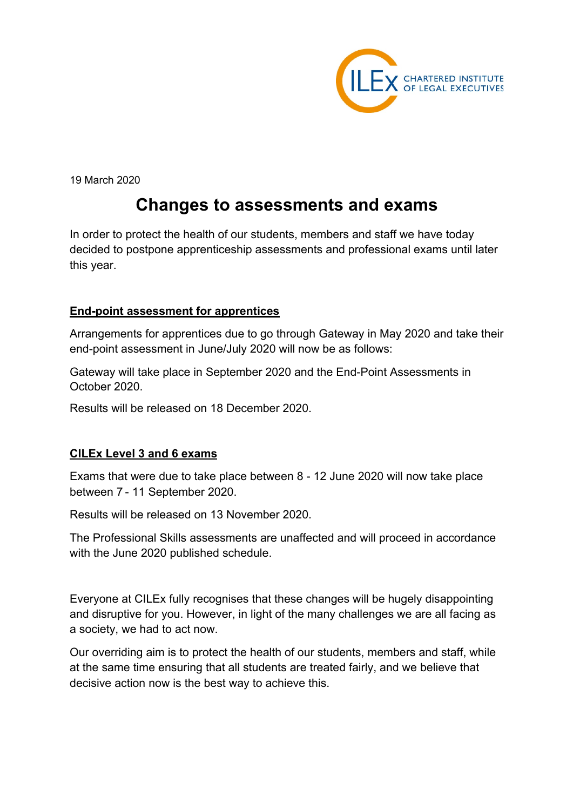

19 March 2020

# **Changes to assessments and exams**

In order to protect the health of our students, members and staff we have today decided to postpone apprenticeship assessments and professional exams until later this year.

## **End-point assessment for apprentices**

Arrangements for apprentices due to go through Gateway in May 2020 and take their end-point assessment in June/July 2020 will now be as follows:

Gateway will take place in September 2020 and the End-Point Assessments in October 2020.

Results will be released on 18 December 2020.

## **CILEx Level 3 and 6 exams**

Exams that were due to take place between 8 - 12 June 2020 will now take place between 7 - 11 September 2020.

Results will be released on 13 November 2020.

The Professional Skills assessments are unaffected and will proceed in accordance with the June 2020 published schedule.

Everyone at CILEx fully recognises that these changes will be hugely disappointing and disruptive for you. However, in light of the many challenges we are all facing as a society, we had to act now.

Our overriding aim is to protect the health of our students, members and staff, while at the same time ensuring that all students are treated fairly, and we believe that decisive action now is the best way to achieve this.